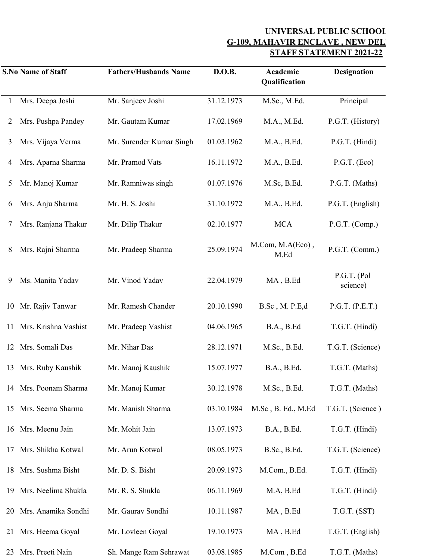## **UNIVERSAL PUBLIC SCHOOL G-109, MAHAVIR ENCLAVE, NEW DEL STAFF STATEMENT 2021-22**

|    | <b>S.No Name of Staff</b> | <b>Fathers/Husbands Name</b> | D.O.B.     | Academic<br>Qualification | <b>Designation</b>      |
|----|---------------------------|------------------------------|------------|---------------------------|-------------------------|
|    | Mrs. Deepa Joshi          | Mr. Sanjeev Joshi            | 31.12.1973 | M.Sc., M.Ed.              | Principal               |
| 2  | Mrs. Pushpa Pandey        | Mr. Gautam Kumar             | 17.02.1969 | M.A., M.Ed.               | P.G.T. (History)        |
| 3  | Mrs. Vijaya Verma         | Mr. Surender Kumar Singh     | 01.03.1962 | M.A., B.Ed.               | P.G.T. (Hindi)          |
| 4  | Mrs. Aparna Sharma        | Mr. Pramod Vats              | 16.11.1972 | M.A., B.Ed.               | P.G.T. (Eco)            |
| 5  | Mr. Manoj Kumar           | Mr. Ramniwas singh           | 01.07.1976 | M.Sc, B.Ed.               | P.G.T. (Maths)          |
| 6  | Mrs. Anju Sharma          | Mr. H. S. Joshi              | 31.10.1972 | M.A., B.Ed.               | P.G.T. (English)        |
| 7  | Mrs. Ranjana Thakur       | Mr. Dilip Thakur             | 02.10.1977 | <b>MCA</b>                | P.G.T. (Comp.)          |
| 8  | Mrs. Rajni Sharma         | Mr. Pradeep Sharma           | 25.09.1974 | M.Com, M.A(Eco),<br>M.Ed  | P.G.T. (Comm.)          |
| 9  | Ms. Manita Yadav          | Mr. Vinod Yadav              | 22.04.1979 | MA, B.Ed                  | P.G.T. (Pol<br>science) |
| 10 | Mr. Rajiv Tanwar          | Mr. Ramesh Chander           | 20.10.1990 | B.Sc, M. P.E,d            | P.G.T. (P.E.T.)         |
| 11 | Mrs. Krishna Vashist      | Mr. Pradeep Vashist          | 04.06.1965 | B.A., B.Ed                | T.G.T. (Hindi)          |
| 12 | Mrs. Somali Das           | Mr. Nihar Das                | 28.12.1971 | M.Sc., B.Ed.              | T.G.T. (Science)        |
| 13 | Mrs. Ruby Kaushik         | Mr. Manoj Kaushik            | 15.07.1977 | B.A., B.Ed.               | T.G.T. (Maths)          |
|    | 14 Mrs. Poonam Sharma     | Mr. Manoj Kumar              | 30.12.1978 | M.Sc., B.Ed.              | T.G.T. (Maths)          |
| 15 | Mrs. Seema Sharma         | Mr. Manish Sharma            | 03.10.1984 | M.Sc, B. Ed., M.Ed        | T.G.T. (Science)        |
| 16 | Mrs. Meenu Jain           | Mr. Mohit Jain               | 13.07.1973 | B.A., B.Ed.               | T.G.T. (Hindi)          |
| 17 | Mrs. Shikha Kotwal        | Mr. Arun Kotwal              | 08.05.1973 | B.Sc., B.Ed.              | T.G.T. (Science)        |
| 18 | Mrs. Sushma Bisht         | Mr. D. S. Bisht              | 20.09.1973 | M.Com., B.Ed.             | T.G.T. (Hindi)          |
| 19 | Mrs. Neelima Shukla       | Mr. R. S. Shukla             | 06.11.1969 | M.A, B.Ed                 | T.G.T. (Hindi)          |
| 20 | Mrs. Anamika Sondhi       | Mr. Gaurav Sondhi            | 10.11.1987 | MA, B.Ed                  | T.G.T. (SST)            |
| 21 | Mrs. Heema Goyal          | Mr. Lovleen Goyal            | 19.10.1973 | MA, B.Ed                  | T.G.T. (English)        |
| 23 | Mrs. Preeti Nain          | Sh. Mange Ram Sehrawat       | 03.08.1985 | M.Com, B.Ed               | T.G.T. (Maths)          |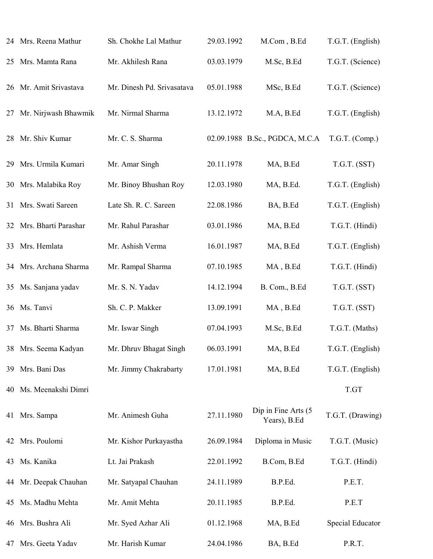|    | 24 Mrs. Reena Mathur    | Sh. Chokhe Lal Mathur      | 29.03.1992 | M.Com, B.Ed                         | T.G.T. (English) |
|----|-------------------------|----------------------------|------------|-------------------------------------|------------------|
|    | 25 Mrs. Mamta Rana      | Mr. Akhilesh Rana          | 03.03.1979 | M.Sc, B.Ed                          | T.G.T. (Science) |
|    | 26 Mr. Amit Srivastava  | Mr. Dinesh Pd. Srivasatava | 05.01.1988 | MSc, B.Ed                           | T.G.T. (Science) |
| 27 | Mr. Nirjwash Bhawmik    | Mr. Nirmal Sharma          | 13.12.1972 | M.A, B.Ed                           | T.G.T. (English) |
|    | 28 Mr. Shiv Kumar       | Mr. C. S. Sharma           |            | 02.09.1988 B.Sc., PGDCA, M.C.A      | T.G.T. (Comp.)   |
|    | 29 Mrs. Urmila Kumari   | Mr. Amar Singh             | 20.11.1978 | MA, B.Ed                            | T.G.T. (SST)     |
|    | 30 Mrs. Malabika Roy    | Mr. Binoy Bhushan Roy      | 12.03.1980 | MA, B.Ed.                           | T.G.T. (English) |
| 31 | Mrs. Swati Sareen       | Late Sh. R. C. Sareen      | 22.08.1986 | BA, B.Ed                            | T.G.T. (English) |
|    | 32 Mrs. Bharti Parashar | Mr. Rahul Parashar         | 03.01.1986 | MA, B.Ed                            | T.G.T. (Hindi)   |
| 33 | Mrs. Hemlata            | Mr. Ashish Verma           | 16.01.1987 | MA, B.Ed                            | T.G.T. (English) |
|    | 34 Mrs. Archana Sharma  | Mr. Rampal Sharma          | 07.10.1985 | MA, B.Ed                            | T.G.T. (Hindi)   |
|    | 35 Ms. Sanjana yadav    | Mr. S. N. Yadav            | 14.12.1994 | B. Com., B.Ed                       | T.G.T. (SST)     |
|    | 36 Ms. Tanvi            | Sh. C. P. Makker           | 13.09.1991 | MA, B.Ed                            | T.G.T. (SST)     |
| 37 | Ms. Bharti Sharma       | Mr. Iswar Singh            | 07.04.1993 | M.Sc, B.Ed                          | T.G.T. (Maths)   |
|    | 38 Mrs. Seema Kadyan    | Mr. Dhruv Bhagat Singh     | 06.03.1991 | MA, B.Ed                            | T.G.T. (English) |
|    | 39 Mrs. Bani Das        | Mr. Jimmy Chakrabarty      | 17.01.1981 | MA, B.Ed                            | T.G.T. (English) |
| 40 | Ms. Meenakshi Dimri     |                            |            |                                     | T.GT             |
|    | 41 Mrs. Sampa           | Mr. Animesh Guha           | 27.11.1980 | Dip in Fine Arts (5<br>Years), B.Ed | T.G.T. (Drawing) |
|    | 42 Mrs. Poulomi         | Mr. Kishor Purkayastha     | 26.09.1984 | Diploma in Music                    | T.G.T. (Music)   |
|    | 43 Ms. Kanika           | Lt. Jai Prakash            | 22.01.1992 | B.Com, B.Ed                         | T.G.T. (Hindi)   |
|    | 44 Mr. Deepak Chauhan   | Mr. Satyapal Chauhan       | 24.11.1989 | B.P.Ed.                             | P.E.T.           |
|    | 45 Ms. Madhu Mehta      | Mr. Amit Mehta             | 20.11.1985 | B.P.Ed.                             | P.E.T            |
| 46 | Mrs. Bushra Ali         | Mr. Syed Azhar Ali         | 01.12.1968 | MA, B.Ed                            | Special Educator |
| 47 | Mrs. Geeta Yadav        | Mr. Harish Kumar           | 24.04.1986 | BA, B.Ed                            | P.R.T.           |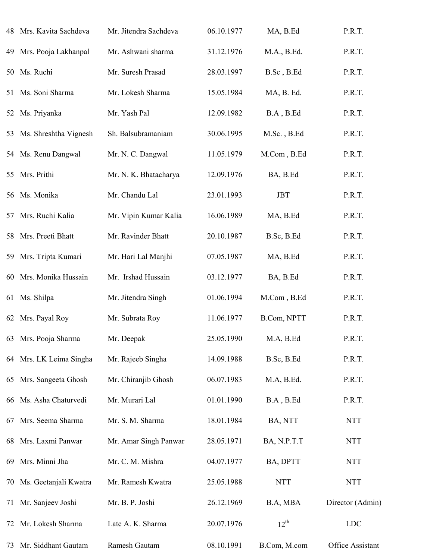|    | 48 Mrs. Kavita Sachdeva  | Mr. Jitendra Sachdeva | 06.10.1977 | MA, B.Ed     | P.R.T.           |
|----|--------------------------|-----------------------|------------|--------------|------------------|
| 49 | Mrs. Pooja Lakhanpal     | Mr. Ashwani sharma    | 31.12.1976 | M.A., B.Ed.  | P.R.T.           |
| 50 | Ms. Ruchi                | Mr. Suresh Prasad     | 28.03.1997 | B.Sc, B.Ed   | P.R.T.           |
|    | 51 Ms. Soni Sharma       | Mr. Lokesh Sharma     | 15.05.1984 | MA, B. Ed.   | P.R.T.           |
|    | 52 Ms. Priyanka          | Mr. Yash Pal          | 12.09.1982 | B.A, B.Ed    | P.R.T.           |
|    | 53 Ms. Shreshtha Vignesh | Sh. Balsubramaniam    | 30.06.1995 | M.Sc., B.Ed  | P.R.T.           |
|    | 54 Ms. Renu Dangwal      | Mr. N. C. Dangwal     | 11.05.1979 | M.Com, B.Ed  | P.R.T.           |
| 55 | Mrs. Prithi              | Mr. N. K. Bhatacharya | 12.09.1976 | BA, B.Ed     | P.R.T.           |
|    | 56 Ms. Monika            | Mr. Chandu Lal        | 23.01.1993 | <b>JBT</b>   | P.R.T.           |
| 57 | Mrs. Ruchi Kalia         | Mr. Vipin Kumar Kalia | 16.06.1989 | MA, B.Ed     | P.R.T.           |
|    | 58 Mrs. Preeti Bhatt     | Mr. Ravinder Bhatt    | 20.10.1987 | B.Sc, B.Ed   | P.R.T.           |
| 59 | Mrs. Tripta Kumari       | Mr. Hari Lal Manjhi   | 07.05.1987 | MA, B.Ed     | P.R.T.           |
|    | 60 Mrs. Monika Hussain   | Mr. Irshad Hussain    | 03.12.1977 | BA, B.Ed     | P.R.T.           |
|    | 61 Ms. Shilpa            | Mr. Jitendra Singh    | 01.06.1994 | M.Com, B.Ed  | P.R.T.           |
|    | 62 Mrs. Payal Roy        | Mr. Subrata Roy       | 11.06.1977 | B.Com, NPTT  | P.R.T.           |
|    | 63 Mrs. Pooja Sharma     | Mr. Deepak            | 25.05.1990 | M.A, B.Ed    | P.R.T.           |
|    | 64 Mrs. LK Leima Singha  | Mr. Rajeeb Singha     | 14.09.1988 | B.Sc, B.Ed   | P.R.T.           |
|    | 65 Mrs. Sangeeta Ghosh   | Mr. Chiranjib Ghosh   | 06.07.1983 | M.A, B.Ed.   | P.R.T.           |
|    | 66 Ms. Asha Chaturvedi   | Mr. Murari Lal        | 01.01.1990 | B.A, B.Ed    | P.R.T.           |
| 67 | Mrs. Seema Sharma        | Mr. S. M. Sharma      | 18.01.1984 | BA, NTT      | <b>NTT</b>       |
|    | 68 Mrs. Laxmi Panwar     | Mr. Amar Singh Panwar | 28.05.1971 | BA, N.P.T.T  | <b>NTT</b>       |
| 69 | Mrs. Minni Jha           | Mr. C. M. Mishra      | 04.07.1977 | BA, DPTT     | <b>NTT</b>       |
| 70 | Ms. Geetanjali Kwatra    | Mr. Ramesh Kwatra     | 25.05.1988 | <b>NTT</b>   | <b>NTT</b>       |
| 71 | Mr. Sanjeev Joshi        | Mr. B. P. Joshi       | 26.12.1969 | B.A, MBA     | Director (Admin) |
|    | 72 Mr. Lokesh Sharma     | Late A. K. Sharma     | 20.07.1976 | $12^{th}$    | <b>LDC</b>       |
|    | 73 Mr. Siddhant Gautam   | Ramesh Gautam         | 08.10.1991 | B.Com, M.com | Office Assistant |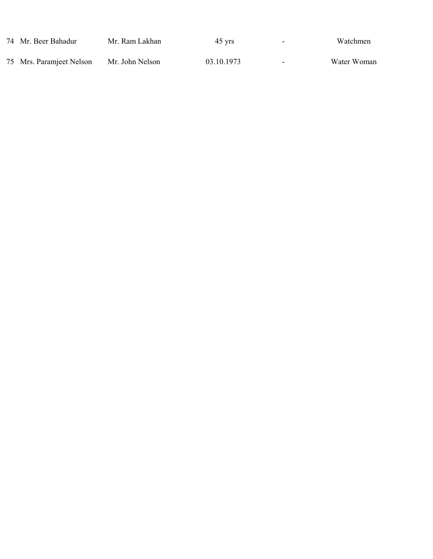| 74 Mr. Beer Bahadur      | Mr. Ram Lakhan  | 45 vrs     | ٠ | Watchmen    |
|--------------------------|-----------------|------------|---|-------------|
| 75 Mrs. Paramjeet Nelson | Mr. John Nelson | 03.10.1973 |   | Water Woman |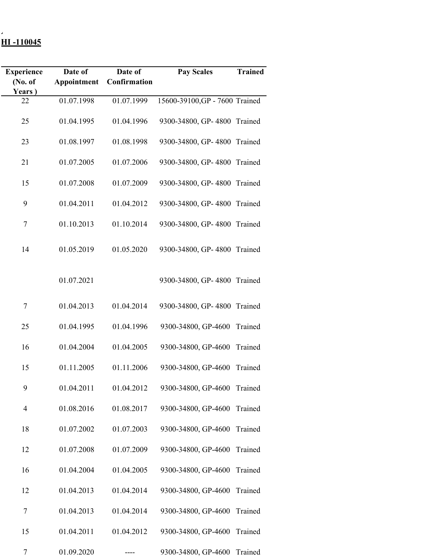## **UNIVERSAL PUBLIC SCHOOL G-109, MAHAVIR ENCLAVE , NEW DELHI -110045**

| <b>Experience</b> | Date of     | Date of      | <b>Pay Scales</b>              | <b>Trained</b> |
|-------------------|-------------|--------------|--------------------------------|----------------|
| (No. of           | Appointment | Confirmation |                                |                |
| Years)            |             |              |                                |                |
| 22                | 01.07.1998  | 01.07.1999   | 15600-39100, GP - 7600 Trained |                |
|                   |             |              |                                |                |
|                   |             |              |                                |                |
| 25                | 01.04.1995  | 01.04.1996   | 9300-34800, GP-4800 Trained    |                |
|                   |             |              |                                |                |
| 23                | 01.08.1997  | 01.08.1998   | 9300-34800, GP-4800 Trained    |                |
|                   |             |              |                                |                |
| 21                | 01.07.2005  | 01.07.2006   | 9300-34800, GP-4800 Trained    |                |
|                   |             |              |                                |                |
| 15                | 01.07.2008  | 01.07.2009   | 9300-34800, GP-4800 Trained    |                |
|                   |             |              |                                |                |
| 9                 | 01.04.2011  | 01.04.2012   | 9300-34800, GP-4800 Trained    |                |
|                   |             |              |                                |                |
|                   |             |              |                                |                |
| 7                 | 01.10.2013  | 01.10.2014   | 9300-34800, GP-4800 Trained    |                |
|                   |             |              |                                |                |
| 14                | 01.05.2019  | 01.05.2020   | 9300-34800, GP-4800 Trained    |                |
|                   |             |              |                                |                |
|                   |             |              |                                |                |
|                   |             |              |                                |                |
|                   | 01.07.2021  |              | 9300-34800, GP-4800 Trained    |                |
|                   |             |              |                                |                |
| 7                 | 01.04.2013  | 01.04.2014   | 9300-34800, GP-4800            | Trained        |
|                   |             |              |                                |                |
|                   |             |              |                                |                |
| 25                | 01.04.1995  | 01.04.1996   | 9300-34800, GP-4600            | Trained        |
|                   |             |              |                                |                |
| 16                | 01.04.2004  | 01.04.2005   | 9300-34800, GP-4600            | Trained        |
|                   |             |              |                                |                |
| 15                | 01.11.2005  | 01.11.2006   | 9300-34800, GP-4600            | Trained        |
|                   |             |              |                                |                |
| 9                 | 01.04.2011  | 01.04.2012   | 9300-34800, GP-4600 Trained    |                |
|                   |             |              |                                |                |
| 4                 | 01.08.2016  | 01.08.2017   | 9300-34800, GP-4600            | Trained        |
|                   |             |              |                                |                |
|                   |             |              |                                |                |
| 18                | 01.07.2002  | 01.07.2003   | 9300-34800, GP-4600            | Trained        |
|                   |             |              |                                |                |
| 12                | 01.07.2008  | 01.07.2009   | 9300-34800, GP-4600            | Trained        |
|                   |             |              |                                |                |
| 16                | 01.04.2004  | 01.04.2005   | 9300-34800, GP-4600            | Trained        |
|                   |             |              |                                |                |
| 12                | 01.04.2013  | 01.04.2014   | 9300-34800, GP-4600            | Trained        |
|                   |             |              |                                |                |
| 7                 | 01.04.2013  | 01.04.2014   | 9300-34800, GP-4600            | Trained        |
|                   |             |              |                                |                |
|                   |             |              |                                |                |
| 15                | 01.04.2011  | 01.04.2012   | 9300-34800, GP-4600            | Trained        |
|                   |             |              |                                |                |
| 7                 | 01.09.2020  |              | 9300-34800, GP-4600            | Trained        |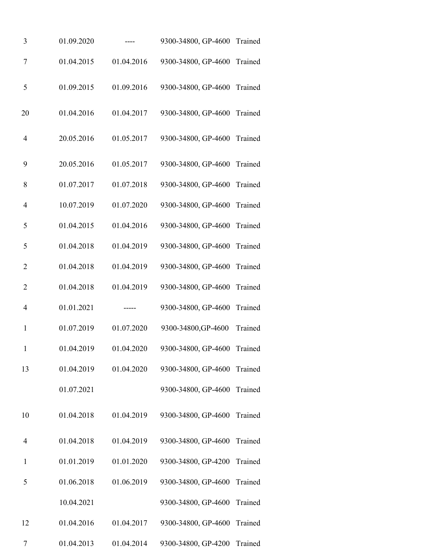| 3              | 01.09.2020 |            | 9300-34800, GP-4600 Trained |         |
|----------------|------------|------------|-----------------------------|---------|
| $\tau$         | 01.04.2015 | 01.04.2016 | 9300-34800, GP-4600 Trained |         |
| 5              | 01.09.2015 | 01.09.2016 | 9300-34800, GP-4600 Trained |         |
| 20             | 01.04.2016 | 01.04.2017 | 9300-34800, GP-4600 Trained |         |
| $\overline{4}$ | 20.05.2016 | 01.05.2017 | 9300-34800, GP-4600 Trained |         |
| 9              | 20.05.2016 | 01.05.2017 | 9300-34800, GP-4600         | Trained |
| 8              | 01.07.2017 | 01.07.2018 | 9300-34800, GP-4600         | Trained |
| $\overline{4}$ | 10.07.2019 | 01.07.2020 | 9300-34800, GP-4600         | Trained |
| 5              | 01.04.2015 | 01.04.2016 | 9300-34800, GP-4600         | Trained |
| 5              | 01.04.2018 | 01.04.2019 | 9300-34800, GP-4600         | Trained |
| $\overline{2}$ | 01.04.2018 | 01.04.2019 | 9300-34800, GP-4600         | Trained |
| $\overline{2}$ | 01.04.2018 | 01.04.2019 | 9300-34800, GP-4600         | Trained |
| $\overline{4}$ | 01.01.2021 |            | 9300-34800, GP-4600         | Trained |
| $\mathbf{1}$   | 01.07.2019 | 01.07.2020 | 9300-34800, GP-4600         | Trained |
| 1              | 01.04.2019 | 01.04.2020 | 9300-34800, GP-4600 Trained |         |
| 13             | 01.04.2019 | 01.04.2020 | 9300-34800, GP-4600 Trained |         |
|                | 01.07.2021 |            | 9300-34800, GP-4600 Trained |         |
| 10             | 01.04.2018 | 01.04.2019 | 9300-34800, GP-4600 Trained |         |
| $\overline{4}$ | 01.04.2018 | 01.04.2019 | 9300-34800, GP-4600 Trained |         |
| $\mathbf{1}$   | 01.01.2019 | 01.01.2020 | 9300-34800, GP-4200         | Trained |
| 5              | 01.06.2018 | 01.06.2019 | 9300-34800, GP-4600         | Trained |
|                | 10.04.2021 |            | 9300-34800, GP-4600         | Trained |
| 12             | 01.04.2016 | 01.04.2017 | 9300-34800, GP-4600 Trained |         |
| 7              | 01.04.2013 | 01.04.2014 | 9300-34800, GP-4200         | Trained |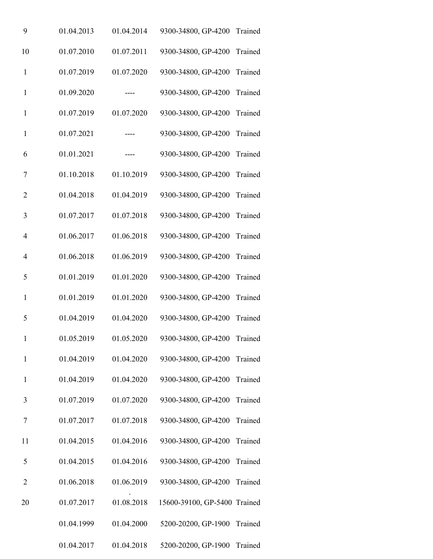| 9              | 01.04.2013 | 01.04.2014 | 9300-34800, GP-4200                    | Trained |
|----------------|------------|------------|----------------------------------------|---------|
| 10             | 01.07.2010 | 01.07.2011 | 9300-34800, GP-4200                    | Trained |
| $\mathbf{1}$   | 01.07.2019 | 01.07.2020 | 9300-34800, GP-4200                    | Trained |
| $\mathbf 1$    | 01.09.2020 |            | 9300-34800, GP-4200                    | Trained |
| $\mathbf{1}$   | 01.07.2019 | 01.07.2020 | 9300-34800, GP-4200                    | Trained |
| $\mathbf{1}$   | 01.07.2021 | ----       | 9300-34800, GP-4200                    | Trained |
| 6              | 01.01.2021 |            | 9300-34800, GP-4200                    | Trained |
| 7              | 01.10.2018 | 01.10.2019 | 9300-34800, GP-4200                    | Trained |
| $\overline{2}$ | 01.04.2018 | 01.04.2019 | 9300-34800, GP-4200                    | Trained |
| 3              | 01.07.2017 | 01.07.2018 | 9300-34800, GP-4200                    | Trained |
| $\overline{4}$ | 01.06.2017 | 01.06.2018 | 9300-34800, GP-4200                    | Trained |
| $\overline{4}$ | 01.06.2018 | 01.06.2019 | 9300-34800, GP-4200                    | Trained |
| 5              | 01.01.2019 | 01.01.2020 | 9300-34800, GP-4200                    | Trained |
| $\mathbf{1}$   | 01.01.2019 | 01.01.2020 | 9300-34800, GP-4200                    | Trained |
| 5              | 01.04.2019 | 01.04.2020 | 9300-34800, GP-4200                    | Trained |
| $\mathbf{1}$   | 01.05.2019 |            | 01.05.2020 9300-34800, GP-4200 Trained |         |
| $\mathbf 1$    | 01.04.2019 | 01.04.2020 | 9300-34800, GP-4200                    | Trained |
| $\mathbf{1}$   | 01.04.2019 | 01.04.2020 | 9300-34800, GP-4200                    | Trained |
| 3              | 01.07.2019 | 01.07.2020 | 9300-34800, GP-4200                    | Trained |
| 7              | 01.07.2017 | 01.07.2018 | 9300-34800, GP-4200                    | Trained |
| 11             | 01.04.2015 | 01.04.2016 | 9300-34800, GP-4200                    | Trained |
| 5              | 01.04.2015 | 01.04.2016 | 9300-34800, GP-4200                    | Trained |
| $\overline{2}$ | 01.06.2018 | 01.06.2019 | 9300-34800, GP-4200                    | Trained |
| 20             | 01.07.2017 | 01.08.2018 | 15600-39100, GP-5400 Trained           |         |
|                | 01.04.1999 | 01.04.2000 | 5200-20200, GP-1900                    | Trained |
|                | 01.04.2017 | 01.04.2018 | 5200-20200, GP-1900                    | Trained |